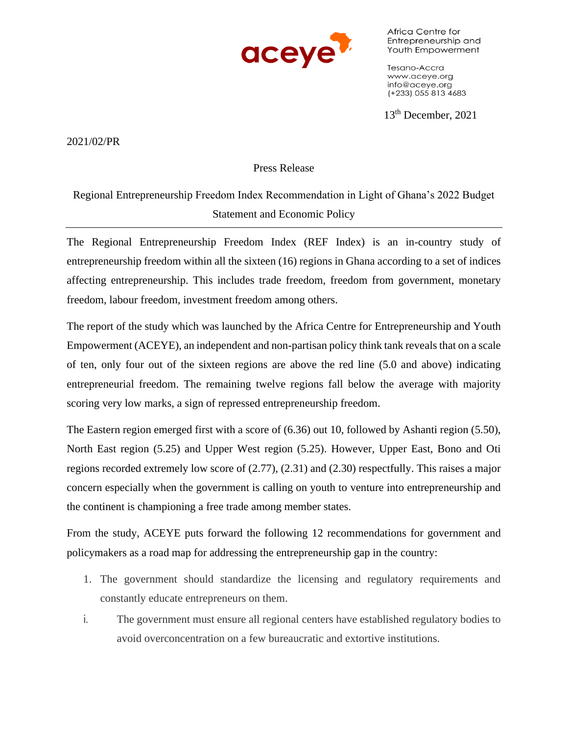

Africa Centre for Entrepreneurship and Youth Empowerment

Tesano-Accra www.aceye.org info@aceye.org (+233) 055 813 4683

13th December, 2021

2021/02/PR

## Press Release

Regional Entrepreneurship Freedom Index Recommendation in Light of Ghana's 2022 Budget Statement and Economic Policy

The Regional Entrepreneurship Freedom Index (REF Index) is an in-country study of entrepreneurship freedom within all the sixteen (16) regions in Ghana according to a set of indices affecting entrepreneurship. This includes trade freedom, freedom from government, monetary freedom, labour freedom, investment freedom among others.

The report of the study which was launched by the Africa Centre for Entrepreneurship and Youth Empowerment (ACEYE), an independent and non-partisan policy think tank reveals that on a scale of ten, only four out of the sixteen regions are above the red line (5.0 and above) indicating entrepreneurial freedom. The remaining twelve regions fall below the average with majority scoring very low marks, a sign of repressed entrepreneurship freedom.

The Eastern region emerged first with a score of (6.36) out 10, followed by Ashanti region (5.50), North East region (5.25) and Upper West region (5.25). However, Upper East, Bono and Oti regions recorded extremely low score of (2.77), (2.31) and (2.30) respectfully. This raises a major concern especially when the government is calling on youth to venture into entrepreneurship and the continent is championing a free trade among member states.

From the study, ACEYE puts forward the following 12 recommendations for government and policymakers as a road map for addressing the entrepreneurship gap in the country:

- 1. The government should standardize the licensing and regulatory requirements and constantly educate entrepreneurs on them.
- i. The government must ensure all regional centers have established regulatory bodies to avoid overconcentration on a few bureaucratic and extortive institutions.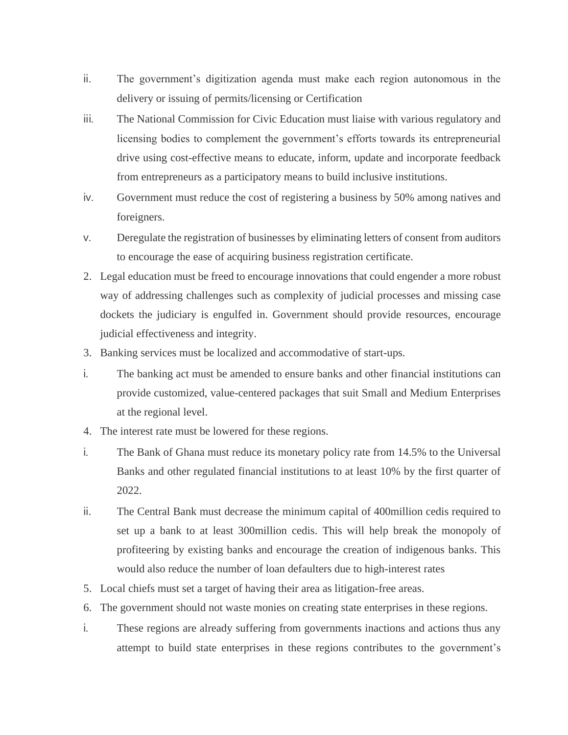- ii. The government's digitization agenda must make each region autonomous in the delivery or issuing of permits/licensing or Certification
- iii. The National Commission for Civic Education must liaise with various regulatory and licensing bodies to complement the government's efforts towards its entrepreneurial drive using cost-effective means to educate, inform, update and incorporate feedback from entrepreneurs as a participatory means to build inclusive institutions.
- iv. Government must reduce the cost of registering a business by 50% among natives and foreigners.
- v. Deregulate the registration of businesses by eliminating letters of consent from auditors to encourage the ease of acquiring business registration certificate.
- 2. Legal education must be freed to encourage innovations that could engender a more robust way of addressing challenges such as complexity of judicial processes and missing case dockets the judiciary is engulfed in. Government should provide resources, encourage judicial effectiveness and integrity.
- 3. Banking services must be localized and accommodative of start-ups.
- i. The banking act must be amended to ensure banks and other financial institutions can provide customized, value-centered packages that suit Small and Medium Enterprises at the regional level.
- 4. The interest rate must be lowered for these regions.
- i. The Bank of Ghana must reduce its monetary policy rate from 14.5% to the Universal Banks and other regulated financial institutions to at least 10% by the first quarter of 2022.
- ii. The Central Bank must decrease the minimum capital of 400million cedis required to set up a bank to at least 300million cedis. This will help break the monopoly of profiteering by existing banks and encourage the creation of indigenous banks. This would also reduce the number of loan defaulters due to high-interest rates
- 5. Local chiefs must set a target of having their area as litigation-free areas.
- 6. The government should not waste monies on creating state enterprises in these regions.
- i. These regions are already suffering from governments inactions and actions thus any attempt to build state enterprises in these regions contributes to the government's